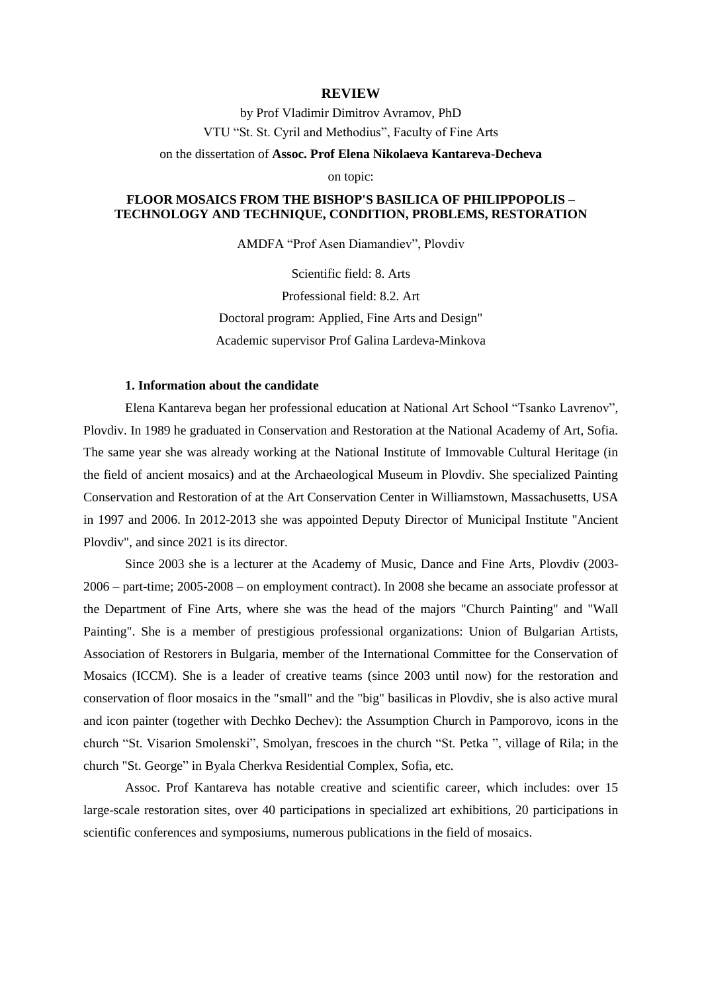### **REVIEW**

by Prof Vladimir Dimitrov Avramov, PhD VTU "St. St. Cyril and Methodius", Faculty of Fine Arts

on the dissertation of **Assoc. Prof Elena Nikolaeva Kantareva-Decheva**

on topic:

# **FLOOR MOSAICS FROM THE BISHOP'S BASILICA OF PHILIPPOPOLIS – TECHNOLOGY AND TECHNIQUE, CONDITION, PROBLEMS, RESTORATION**

AMDFA "Prof Asen Diamandiev", Plovdiv

Scientific field: 8. Arts Professional field: 8.2. Art Doctoral program: Applied, Fine Arts and Design" Academic supervisor Prof Galina Lardeva-Minkova

# **1. Information about the candidate**

Elena Kantareva began her professional education at National Art School "Tsanko Lavrenov", Plovdiv. In 1989 he graduated in Conservation and Restoration at the National Academy of Art, Sofia. The same year she was already working at the National Institute of Immovable Cultural Heritage (in the field of ancient mosaics) and at the Archaeological Museum in Plovdiv. She specialized Painting Conservation and Restoration of at the Art Conservation Center in Williamstown, Massachusetts, USA in 1997 and 2006. In 2012-2013 she was appointed Deputy Director of Municipal Institute "Ancient Plovdiv", and since 2021 is its director.

Since 2003 she is a lecturer at the Academy of Music, Dance and Fine Arts, Plovdiv (2003- 2006 – part-time; 2005-2008 – on employment contract). In 2008 she became an associate professor at the Department of Fine Arts, where she was the head of the majors "Church Painting" and "Wall Painting". She is a member of prestigious professional organizations: Union of Bulgarian Artists, Association of Restorers in Bulgaria, member of the International Committee for the Conservation of Mosaics (ICCM). She is a leader of creative teams (since 2003 until now) for the restoration and conservation of floor mosaics in the "small" and the "big" basilicas in Plovdiv, she is also active mural and icon painter (together with Dechko Dechev): the Assumption Church in Pamporovo, icons in the church "St. Visarion Smolenski", Smolyan, frescoes in the church "St. Petka ", village of Rila; in the church "St. George" in Byala Cherkva Residential Complex, Sofia, etc.

Assoc. Prof Kantareva has notable creative and scientific career, which includes: over 15 large-scale restoration sites, over 40 participations in specialized art exhibitions, 20 participations in scientific conferences and symposiums, numerous publications in the field of mosaics.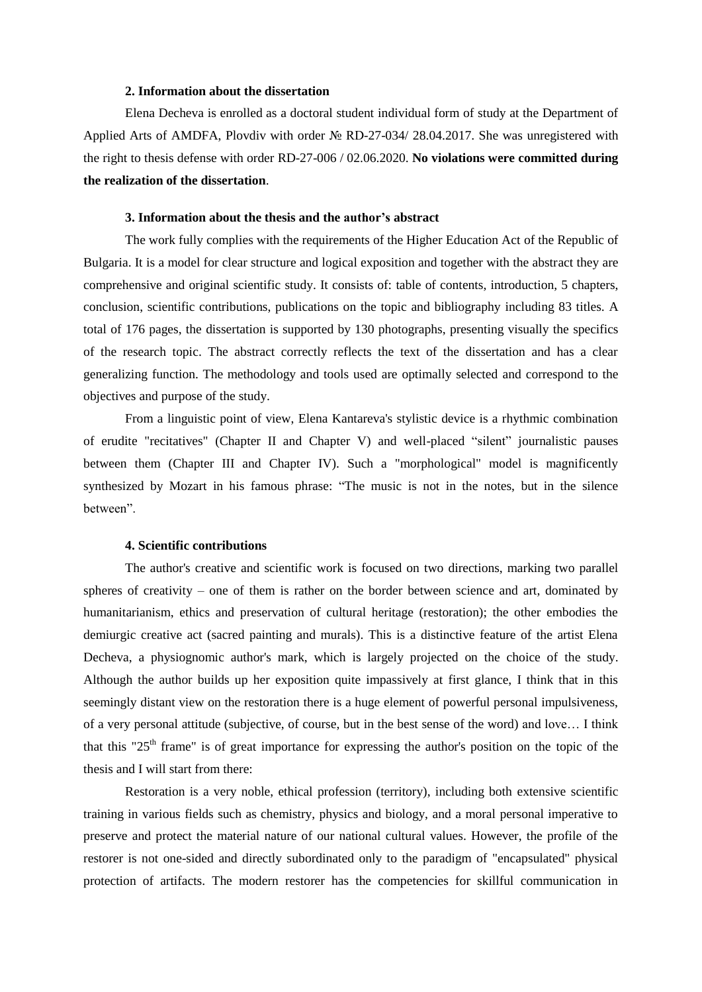## **2. Information about the dissertation**

Elena Decheva is enrolled as a doctoral student individual form of study at the Department of Applied Arts of AMDFA, Plovdiv with order № RD-27-034/ 28.04.2017. She was unregistered with the right to thesis defense with order RD-27-006 / 02.06.2020. **No violations were committed during the realization of the dissertation**.

#### **3. Information about the thesis and the author's abstract**

The work fully complies with the requirements of the Higher Education Act of the Republic of Bulgaria. It is a model for clear structure and logical exposition and together with the abstract they are comprehensive and original scientific study. It consists of: table of contents, introduction, 5 chapters, conclusion, scientific contributions, publications on the topic and bibliography including 83 titles. A total of 176 pages, the dissertation is supported by 130 photographs, presenting visually the specifics of the research topic. The abstract correctly reflects the text of the dissertation and has a clear generalizing function. The methodology and tools used are optimally selected and correspond to the objectives and purpose of the study.

From a linguistic point of view, Elena Kantareva's stylistic device is a rhythmic combination of erudite "recitatives" (Chapter II and Chapter V) and well-placed "silent" journalistic pauses between them (Chapter III and Chapter IV). Such a "morphological" model is magnificently synthesized by Mozart in his famous phrase: "The music is not in the notes, but in the silence between".

#### **4. Scientific contributions**

The author's creative and scientific work is focused on two directions, marking two parallel spheres of creativity – one of them is rather on the border between science and art, dominated by humanitarianism, ethics and preservation of cultural heritage (restoration); the other embodies the demiurgic creative act (sacred painting and murals). This is a distinctive feature of the artist Elena Decheva, a physiognomic author's mark, which is largely projected on the choice of the study. Although the author builds up her exposition quite impassively at first glance, I think that in this seemingly distant view on the restoration there is a huge element of powerful personal impulsiveness, of a very personal attitude (subjective, of course, but in the best sense of the word) and love… I think that this "25<sup>th</sup> frame" is of great importance for expressing the author's position on the topic of the thesis and I will start from there:

Restoration is a very noble, ethical profession (territory), including both extensive scientific training in various fields such as chemistry, physics and biology, and a moral personal imperative to preserve and protect the material nature of our national cultural values. However, the profile of the restorer is not one-sided and directly subordinated only to the paradigm of "encapsulated" physical protection of artifacts. The modern restorer has the competencies for skillful communication in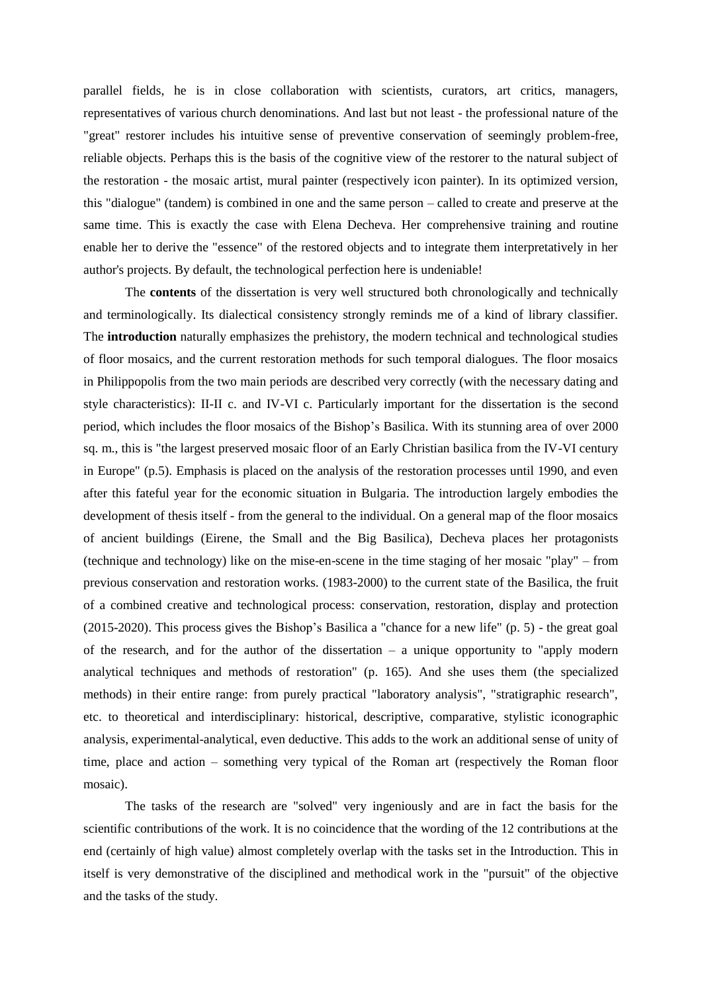parallel fields, he is in close collaboration with scientists, curators, art critics, managers, representatives of various church denominations. And last but not least - the professional nature of the "great" restorer includes his intuitive sense of preventive conservation of seemingly problem-free, reliable objects. Perhaps this is the basis of the cognitive view of the restorer to the natural subject of the restoration - the mosaic artist, mural painter (respectively icon painter). In its optimized version, this "dialogue" (tandem) is combined in one and the same person – called to create and preserve at the same time. This is exactly the case with Elena Decheva. Her comprehensive training and routine enable her to derive the "essence" of the restored objects and to integrate them interpretatively in her author's projects. By default, the technological perfection here is undeniable!

The **contents** of the dissertation is very well structured both chronologically and technically and terminologically. Its dialectical consistency strongly reminds me of a kind of library classifier. The **introduction** naturally emphasizes the prehistory, the modern technical and technological studies of floor mosaics, and the current restoration methods for such temporal dialogues. The floor mosaics in Philippopolis from the two main periods are described very correctly (with the necessary dating and style characteristics): II-II c. and IV-VI c. Particularly important for the dissertation is the second period, which includes the floor mosaics of the Bishop's Basilica. With its stunning area of over 2000 sq. m., this is "the largest preserved mosaic floor of an Early Christian basilica from the IV-VI century in Europe" (p.5). Emphasis is placed on the analysis of the restoration processes until 1990, and even after this fateful year for the economic situation in Bulgaria. The introduction largely embodies the development of thesis itself - from the general to the individual. On a general map of the floor mosaics of ancient buildings (Eirene, the Small and the Big Basilica), Decheva places her protagonists (technique and technology) like on the mise-en-scene in the time staging of her mosaic "play" – from previous conservation and restoration works. (1983-2000) to the current state of the Basilica, the fruit of a combined creative and technological process: conservation, restoration, display and protection (2015-2020). This process gives the Bishop's Basilica a "chance for a new life" (p. 5) - the great goal of the research, and for the author of the dissertation – a unique opportunity to "apply modern analytical techniques and methods of restoration" (p. 165). And she uses them (the specialized methods) in their entire range: from purely practical "laboratory analysis", "stratigraphic research", etc. to theoretical and interdisciplinary: historical, descriptive, comparative, stylistic iconographic analysis, experimental-analytical, even deductive. This adds to the work an additional sense of unity of time, place and action – something very typical of the Roman art (respectively the Roman floor mosaic).

The tasks of the research are "solved" very ingeniously and are in fact the basis for the scientific contributions of the work. It is no coincidence that the wording of the 12 contributions at the end (certainly of high value) almost completely overlap with the tasks set in the Introduction. This in itself is very demonstrative of the disciplined and methodical work in the "pursuit" of the objective and the tasks of the study.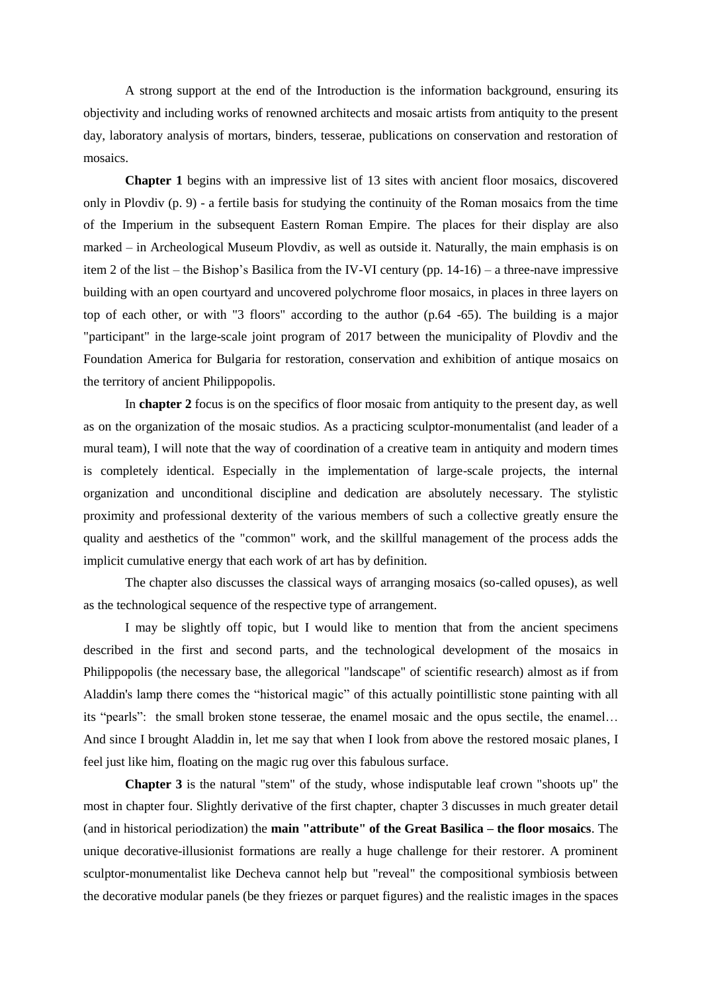A strong support at the end of the Introduction is the information background, ensuring its objectivity and including works of renowned architects and mosaic artists from antiquity to the present day, laboratory analysis of mortars, binders, tesserae, publications on conservation and restoration of mosaics.

**Chapter 1** begins with an impressive list of 13 sites with ancient floor mosaics, discovered only in Plovdiv (p. 9) - a fertile basis for studying the continuity of the Roman mosaics from the time of the Imperium in the subsequent Eastern Roman Empire. The places for their display are also marked – in Archeological Museum Plovdiv, as well as outside it. Naturally, the main emphasis is on item 2 of the list – the Bishop's Basilica from the IV-VI century (pp. 14-16) – a three-nave impressive building with an open courtyard and uncovered polychrome floor mosaics, in places in three layers on top of each other, or with "3 floors" according to the author (p.64 -65). The building is a major "participant" in the large-scale joint program of 2017 between the municipality of Plovdiv and the Foundation America for Bulgaria for restoration, conservation and exhibition of antique mosaics on the territory of ancient Philippopolis.

In **chapter 2** focus is on the specifics of floor mosaic from antiquity to the present day, as well as on the organization of the mosaic studios. As a practicing sculptor-monumentalist (and leader of a mural team), I will note that the way of coordination of a creative team in antiquity and modern times is completely identical. Especially in the implementation of large-scale projects, the internal organization and unconditional discipline and dedication are absolutely necessary. The stylistic proximity and professional dexterity of the various members of such a collective greatly ensure the quality and aesthetics of the "common" work, and the skillful management of the process adds the implicit cumulative energy that each work of art has by definition.

The chapter also discusses the classical ways of arranging mosaics (so-called opuses), as well as the technological sequence of the respective type of arrangement.

I may be slightly off topic, but I would like to mention that from the ancient specimens described in the first and second parts, and the technological development of the mosaics in Philippopolis (the necessary base, the allegorical "landscape" of scientific research) almost as if from Aladdin's lamp there comes the "historical magic" of this actually pointillistic stone painting with all its "pearls": the small broken stone tesserae, the enamel mosaic and the opus sectile, the enamel… And since I brought Aladdin in, let me say that when I look from above the restored mosaic planes, I feel just like him, floating on the magic rug over this fabulous surface.

**Chapter 3** is the natural "stem" of the study, whose indisputable leaf crown "shoots up" the most in chapter four. Slightly derivative of the first chapter, chapter 3 discusses in much greater detail (and in historical periodization) the **main "attribute" of the Great Basilica – the floor mosaics**. The unique decorative-illusionist formations are really a huge challenge for their restorer. A prominent sculptor-monumentalist like Decheva cannot help but "reveal" the compositional symbiosis between the decorative modular panels (be they friezes or parquet figures) and the realistic images in the spaces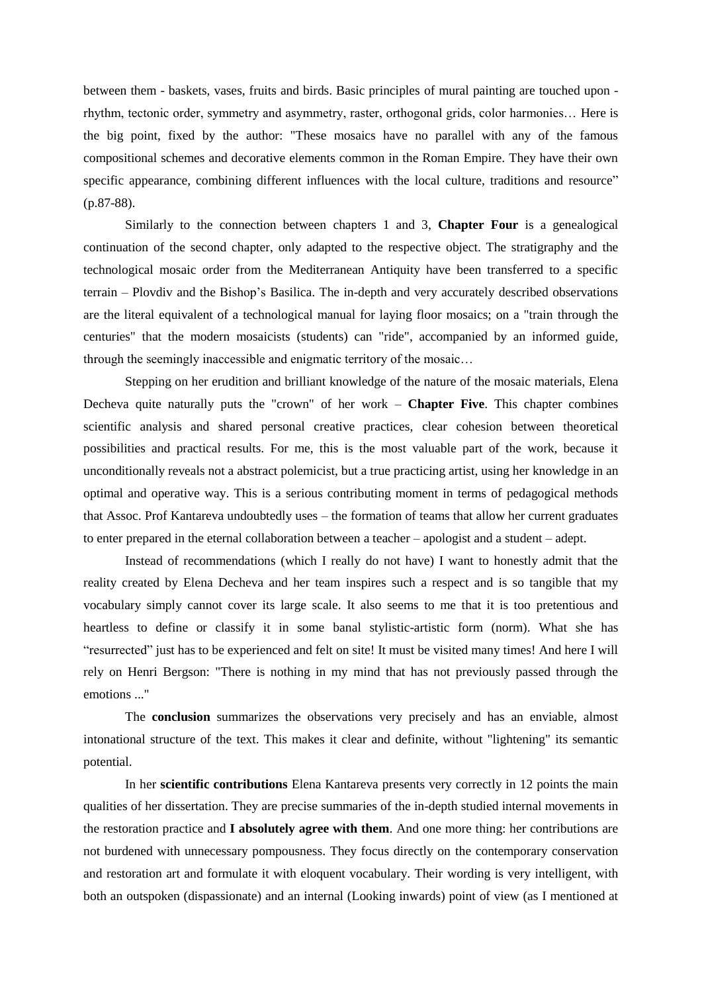between them - baskets, vases, fruits and birds. Basic principles of mural painting are touched upon rhythm, tectonic order, symmetry and asymmetry, raster, orthogonal grids, color harmonies… Here is the big point, fixed by the author: "These mosaics have no parallel with any of the famous compositional schemes and decorative elements common in the Roman Empire. They have their own specific appearance, combining different influences with the local culture, traditions and resource" (p.87-88).

Similarly to the connection between chapters 1 and 3, **Chapter Four** is a genealogical continuation of the second chapter, only adapted to the respective object. The stratigraphy and the technological mosaic order from the Mediterranean Antiquity have been transferred to a specific terrain – Plovdiv and the Bishop's Basilica. The in-depth and very accurately described observations are the literal equivalent of a technological manual for laying floor mosaics; on a "train through the centuries" that the modern mosaicists (students) can "ride", accompanied by an informed guide, through the seemingly inaccessible and enigmatic territory of the mosaic…

Stepping on her erudition and brilliant knowledge of the nature of the mosaic materials, Elena Decheva quite naturally puts the "crown" of her work – **Chapter Five**. This chapter combines scientific analysis and shared personal creative practices, clear cohesion between theoretical possibilities and practical results. For me, this is the most valuable part of the work, because it unconditionally reveals not a abstract polemicist, but a true practicing artist, using her knowledge in an optimal and operative way. This is a serious contributing moment in terms of pedagogical methods that Assoc. Prof Kantareva undoubtedly uses – the formation of teams that allow her current graduates to enter prepared in the eternal collaboration between a teacher – apologist and a student – adept.

Instead of recommendations (which I really do not have) I want to honestly admit that the reality created by Elena Decheva and her team inspires such a respect and is so tangible that my vocabulary simply cannot cover its large scale. It also seems to me that it is too pretentious and heartless to define or classify it in some banal stylistic-artistic form (norm). What she has "resurrected" just has to be experienced and felt on site! It must be visited many times! And here I will rely on Henri Bergson: "There is nothing in my mind that has not previously passed through the emotions ..."

The **conclusion** summarizes the observations very precisely and has an enviable, almost intonational structure of the text. This makes it clear and definite, without "lightening" its semantic potential.

In her **scientific contributions** Elena Kantareva presents very correctly in 12 points the main qualities of her dissertation. They are precise summaries of the in-depth studied internal movements in the restoration practice and **I absolutely agree with them**. And one more thing: her contributions are not burdened with unnecessary pompousness. They focus directly on the contemporary conservation and restoration art and formulate it with eloquent vocabulary. Their wording is very intelligent, with both an outspoken (dispassionate) and an internal (Looking inwards) point of view (as I mentioned at